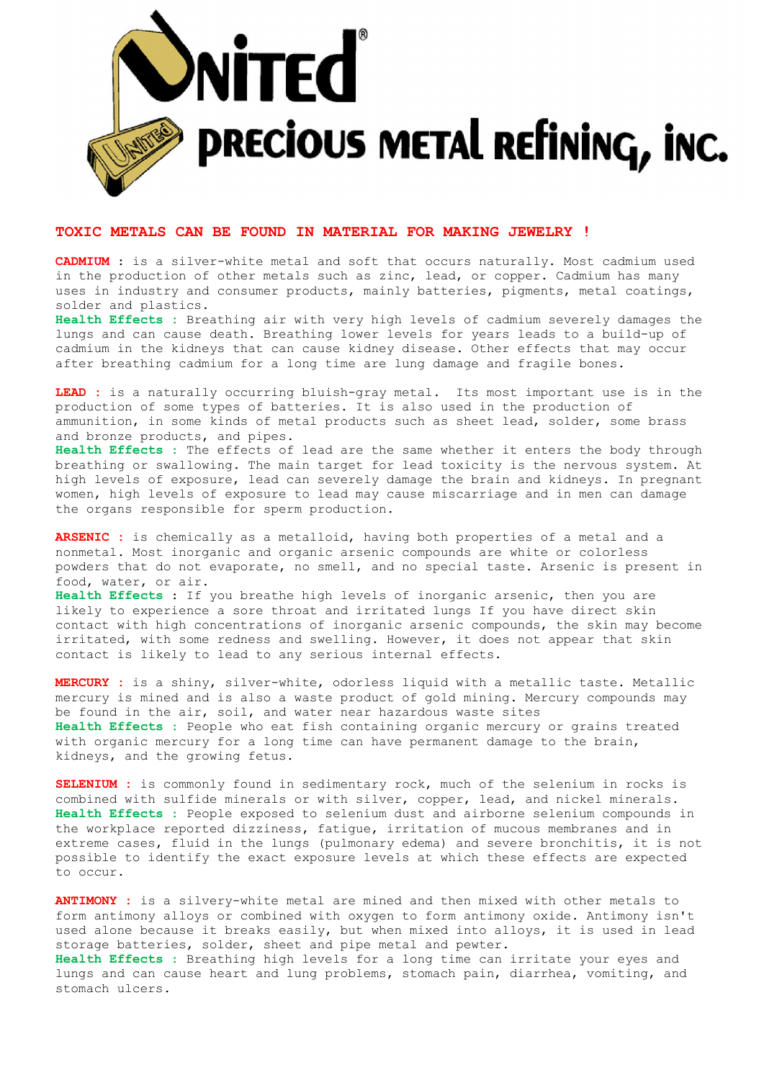

## TOXIC METALS CAN BE FOUND IN MATERIAL FOR MAKING JEWELRY !

CADMIUM : is a silver-white metal and soft that occurs naturally. Most cadmium used in the production of other metals such as zinc, lead, or copper. Cadmium has many uses in industry and consumer products, mainly batteries, pigments, metal coatings, solder and plastics.

Health Effects : Breathing air with very high levels of cadmium severely damages the lungs and can cause death. Breathing lower levels for years leads to a build-up of cadmium in the kidneys that can cause kidney disease. Other effects that may occur after breathing cadmium for a long time are lung damage and fragile bones.

LEAD : is a naturally occurring bluish-gray metal. Its most important use is in the production of some types of batteries. It is also used in the production of ammunition, in some kinds of metal products such as sheet lead, solder, some brass and bronze products, and pipes.

Health Effects : The effects of lead are the same whether it enters the body through breathing or swallowing. The main target for lead toxicity is the nervous system. At high levels of exposure, lead can severely damage the brain and kidneys. In pregnant women, high levels of exposure to lead may cause miscarriage and in men can damage the organs responsible for sperm production.

ARSENIC : is chemically as a metalloid, having both properties of a metal and a nonmetal. Most inorganic and organic arsenic compounds are white or colorless powders that do not evaporate, no smell, and no special taste. Arsenic is present in food, water, or air. Health Effects : If you breathe high levels of inorganic arsenic, then you are likely to experience a sore throat and irritated lungs If you have direct skin contact with high concentrations of inorganic arsenic compounds, the skin may become irritated, with some redness and swelling. However, it does not appear that skin contact is likely to lead to any serious internal effects.

MERCURY : is a shiny, silver-white, odorless liquid with a metallic taste. Metallic mercury is mined and is also a waste product of gold mining. Mercury compounds may be found in the air, soil, and water near hazardous waste sites Health Effects : People who eat fish containing organic mercury or grains treated with organic mercury for a long time can have permanent damage to the brain, kidneys, and the growing fetus.

SELENIUM : is commonly found in sedimentary rock, much of the selenium in rocks is combined with sulfide minerals or with silver, copper, lead, and nickel minerals. Health Effects : People exposed to selenium dust and airborne selenium compounds in the workplace reported dizziness, fatigue, irritation of mucous membranes and in extreme cases, fluid in the lungs (pulmonary edema) and severe bronchitis, it is not possible to identify the exact exposure levels at which these effects are expected to occur.

ANTIMONY : is a silvery-white metal are mined and then mixed with other metals to form antimony alloys or combined with oxygen to form antimony oxide. Antimony isn't used alone because it breaks easily, but when mixed into alloys, it is used in lead storage batteries, solder, sheet and pipe metal and pewter. Health Effects : Breathing high levels for a long time can irritate your eyes and lungs and can cause heart and lung problems, stomach pain, diarrhea, vomiting, and stomach ulcers.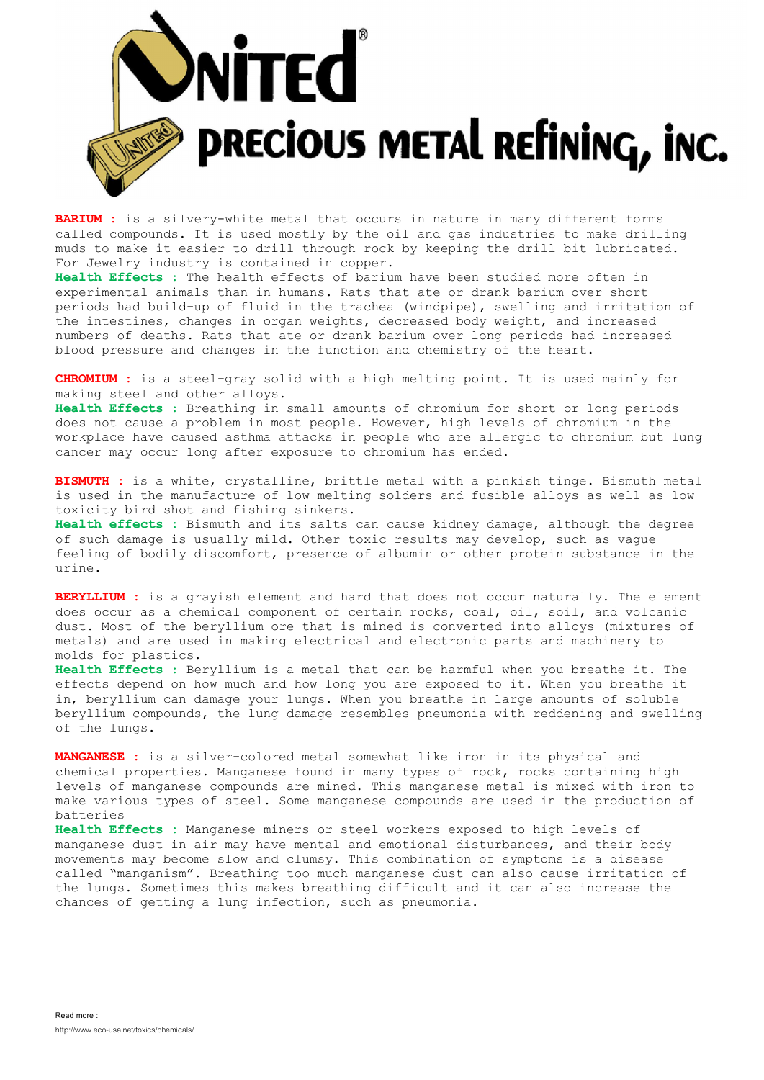

**BARIUM** : is a silvery-white metal that occurs in nature in many different forms called compounds. It is used mostly by the oil and gas industries to make drilling muds to make it easier to drill through rock by keeping the drill bit lubricated. For Jewelry industry is contained in copper.

Health Effects : The health effects of barium have been studied more often in experimental animals than in humans. Rats that ate or drank barium over short periods had build-up of fluid in the trachea (windpipe), swelling and irritation of the intestines, changes in organ weights, decreased body weight, and increased numbers of deaths. Rats that ate or drank barium over long periods had increased blood pressure and changes in the function and chemistry of the heart.

CHROMIUM : is a steel-gray solid with a high melting point. It is used mainly for making steel and other alloys.

Health Effects : Breathing in small amounts of chromium for short or long periods does not cause a problem in most people. However, high levels of chromium in the workplace have caused asthma attacks in people who are allergic to chromium but lung cancer may occur long after exposure to chromium has ended.

BISMUTH : is a white, crystalline, brittle metal with a pinkish tinge. Bismuth metal is used in the manufacture of low melting solders and fusible alloys as well as low toxicity bird shot and fishing sinkers.

Health effects : Bismuth and its salts can cause kidney damage, although the degree of such damage is usually mild. Other toxic results may develop, such as vague feeling of bodily discomfort, presence of albumin or other protein substance in the urine.

BERYLLIUM : is a grayish element and hard that does not occur naturally. The element does occur as a chemical component of certain rocks, coal, oil, soil, and volcanic dust. Most of the beryllium ore that is mined is converted into alloys (mixtures of metals) and are used in making electrical and electronic parts and machinery to molds for plastics.

Health Effects : Beryllium is a metal that can be harmful when you breathe it. The effects depend on how much and how long you are exposed to it. When you breathe it in, beryllium can damage your lungs. When you breathe in large amounts of soluble beryllium compounds, the lung damage resembles pneumonia with reddening and swelling of the lungs.

MANGANESE : is a silver-colored metal somewhat like iron in its physical and chemical properties. Manganese found in many types of rock, rocks containing high levels of manganese compounds are mined. This manganese metal is mixed with iron to make various types of steel. Some manganese compounds are used in the production of batteries

Health Effects : Manganese miners or steel workers exposed to high levels of manganese dust in air may have mental and emotional disturbances, and their body movements may become slow and clumsy. This combination of symptoms is a disease called "manganism". Breathing too much manganese dust can also cause irritation of the lungs. Sometimes this makes breathing difficult and it can also increase the chances of getting a lung infection, such as pneumonia.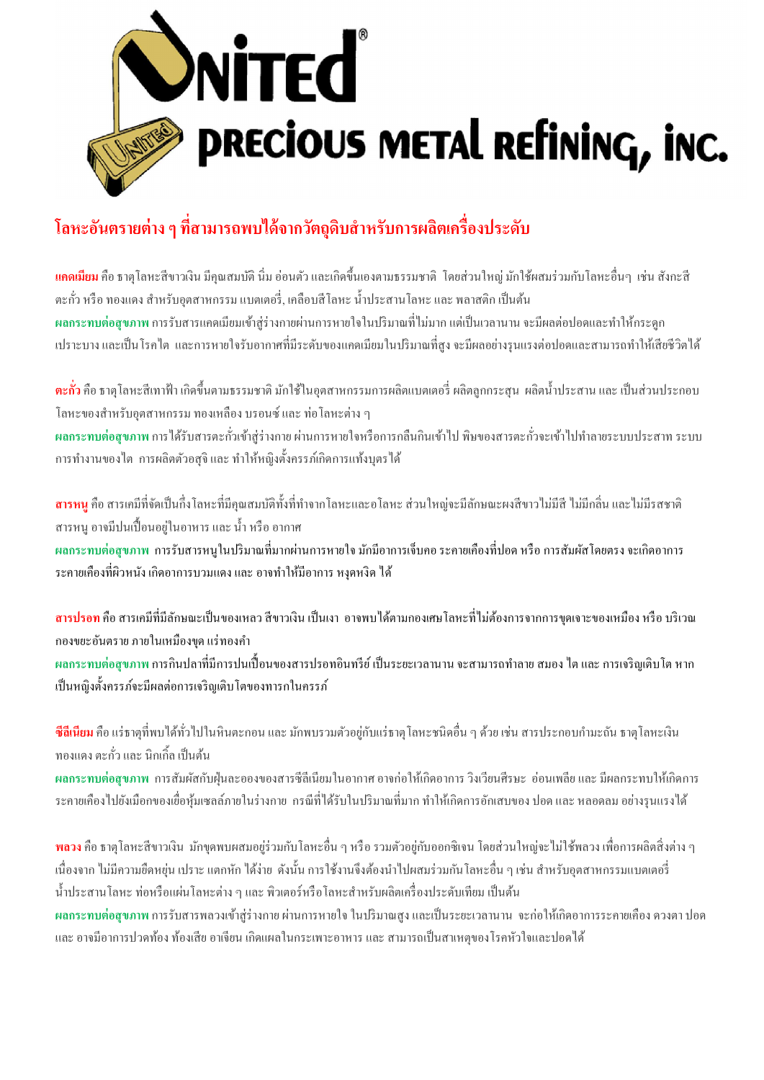

## โลหะอันตรายต่าง ๆ ที่สามารถพบได้จากวัตถุดิบสำหรับการผลิตเครื่องประดับ

ี **แคดเมียม** คือ ธาตุโลหะสีขาวเงิน มีคุณสมบัติ นิ่ม อ่อนตัว และเกิดขึ้นเองตามธรรมชาติ โดยส่วนใหญ่ มักใช้ผสมร่วมกับโลหะอื่นๆ เช่น สังกะสี ตะกั่ว หรือ ทองแดง สำหรับอุตสาหกรรม แบตเตอรี่, เคลือบสีโลหะ น้ำประสานโลหะ และ พลาสติก เป็นต้น ผลกระทบต่อสุขภาพ การรับสารแคดเมียมเข้าสู่ร่างกายผ่านการหายใจในปริมาณที่ไม่มาก แต่เป็นเวลานาน จะมีผลต่อปอดและทำให้กระดูก ้ เปราะบาง และเป็นโรคไต และการหายใจรับอากาศที่มีระดับของแคดเมียมในปริมาณที่สูง จะมีผลอย่างรุนแรงต่อปอดและสามารถทำให้เสียชีวิตได้

<mark>ตะกั่ว</mark> คือ ธาตุโลหะสีเทาฟ้า เกิดขึ้นตามธรรมชาติ มักใช้ในอุตสาหกรรมการผลิตแบตเตอรี่ ผลิตถูกกระสุน ผลิตน้ำประสาน และ เป็นส่วนประกอบ โลหะของสําหรับอุตสาหกรรม ทองเหลือง บรอนซ์ และ ท่อโลหะต่าง ๆ ้ ผลกระทบต่อสุขภาพ การได้รับสารตะกั่วเข้าสู่ร่างกาย ผ่านการหายใจหรือการกลืนกินเข้าไป พิษของสารตะกั่วจะเข้าไปทำลายระบบประสาท ระบบ การทํางานของไต การผลิตตัวอสุจิ และ ทําให้หญิงตังครรภ์เกิดการแท้งบุตรได้

**สารหนู** คือ สารเคมีที่จัดเป็นกึ่งโลหะที่มีคุณสมบัติทั้งที่ทำจากโลหะและอโลหะ ส่วนใหญ่จะมีลักษณะผงสีขาวไม่มีสี ไม่มีกลิ่น และไม่มีรสชาติ สารหนู อาจมีปนเปือนอยู่ในอาหาร และ นํา หรือ อากาศ ผลกระทบต่อสุขภาพ การรับสารหนูในปริมาณทีมากผ่านการหายใจ มักมีอาการเจ็บคอ ระคายเคืองทีปอด หรือ การสัมผัสโดยตรง จะเกิดอาการ ระคายเคืองที่ผิวหนัง เกิดอาการบวมแดง และ อาจทำให้มีอาการ หงุดหงิด ได้

ี <mark>สารปรอท</mark> คือ สารเคมีที่มีลักษณะเป็นของเหลว สีขาวเงิน เป็นเงา อาจพบได้ตามกองเศษโลหะที่ไม่ต้องการจากการขดเจาะของเหมือง หรือ บริเวณ กองขยะอันตราย ภายในเหมืองขุด แร่ทองคํา ้ ผลกระทบต่อสุขภาพ การกินปลาที่มีการปนเปื้อนของสารปรอทอินทรีย์ เป็นระยะเวลานาน จะสามารถทำลาย สมอง ไต และ การเจริญเติบโต หาก เป็นหญิงตั้งครรภ์จะมีผลต่อการเจริญเติบโตของทารกในครรภ์

ี**ซีลีเนียม** คือ แร่ธาตุที่พบได้ทั่วไปในหินตะกอน และ มักพบรวมตัวอยู่กับแร่ธาตุโลหะชนิดอื่น ๆ ด้วย เช่น สารประกอบกำมะถัน ธาตุโลหะเงิน ทองแดง ตะกั่ว และ นิกเกิ้ล เป็นต้น

ผลกระทบต่อสุขภาพ การสัมผัสกับฝุ่ นละอองของสารซีลีเนียมในอากาศ อาจก่อให้เกิดอาการ วิงเวียนศีรษะ อ่อนเพลีย และ มีผลกระทบให้เกิดการ ระคายเคืองไปยังเมือกของเยือหุ้มเซลล์ภายในร่างกาย กรณีทีได้รับในปริมาณทีมาก ทําให้เกิดการอักเสบของ ปอด และ หลอดลม อย่างรุนแรงได้

พลวง คือ ธาตุโลหะสีขาวเงิน มักขุดพบผสมอยู่ร่วมกับโลหะอืน ๆ หรือ รวมตัวอยู่กับออกซิเจน โดยส่วนใหญ่จะไม่ใช้พลวง เพือการผลิตสิงต่าง ๆ ้ เนื่องจาก ไม่มีความยืดหยุ่น เปราะ แตกหัก ได้ง่าย ดังนั้น การใช้งานจึงต้องนำไปผสมร่วมกันโลหะอื่น ๆ เช่น สำหรับอุตสาหกรรมแบตเตอรี่ น้ำประสานโลหะ ท่อหรือแผ่นโลหะต่าง ๆ และ พิวเตอร์หรือโลหะสำหรับผลิตเครื่องประดับเทียม เป็นต้น

ผลกระทบต่อสุขภาพ การรับสารพลวงเข้าสู่ร่างกาย ผ่านการหายใจ ในปริมาณสูง และเป็นระยะเวลานาน จะก่อให้เกิดอาการระคายเคือง ดวงตา ปอด และ อาจมีอาการปวดท้อง ท้องเสีย อาเจียน เกิดแผลในกระเพาะอาหาร และ สามารถเป็นสาเหตุของโรคหัวใจและปอดได้